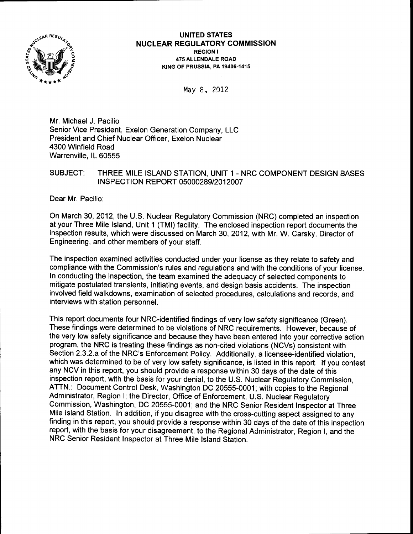

#### UNITED STATES **NUCLEAR REGULATORY COMMISSION** REGION <sup>I</sup> 475 ALLENDALE ROAD K|NG OF PRUSSIA. PA 19406-1415

May 8, 2012

Mr. Michael J. Pacilio Senior Vice President, Exelon Generation Company, LLC President and Chief Nuclear Officer, Exelon Nuclear 4300 Winfield Road Warrenville, lL 60555

# SUBJECT: THREE MILE ISLAND STATION, UNIT 1 - NRC COMPONENT DESIGN BASES INSPECTION REPORT 05000289/2012007

Dear Mr. Pacilio:

On March 30,2012, the U.S. Nuclear Regulatory Commission (NRC) completed an inspection at your Three Mile lsland, Unit 1 (TMl) facility. The enclosed inspection report documents the inspection results, which were discussed on March 30,2012, with Mr. W. Carsky, Director of Engineering, and other members of your staff.

The inspection examined activities conducted under your license as they relate to safety and compliance with the Commission's rules and regulations and with the conditions of your license. In conducting the inspection, the team examined the adequacy of selected components to mitigate postulated transients, initiating events, and design basis accidents. The inspection involved field walkdowns, examination of selected procedures, calculations and records, and interviews with station personnel.

This report documents four NRC-identified findings of very low safety significance (Green). These findings were determined to be violations of NRC requirements. However, because of the very low safety significance and because they have been entered into your corrective action program, the NRC is treating these findings as non-cited violations (NCVs) consistent with Section 2.3.2.a of the NRC's Enforcement Policy. Additionally, a licensee-identified violation, which was determined to be of very low safety significance, is listed in this report. lf you contest any NCV in this report, you should provide a response within 30 days of the date of this inspection report, with the basis for your denial, to the U.S. Nuclear Regulatory Commission, ATTN.: Document Control Desk, Washington DC 20555-0001; with copies to the Regional Administrator, Region l; the Director, Office of Enforcement, U.S. Nuclear Regulatory Commission, Washington, DC 20555-0001; and the NRC Senior Resident lnspector at Three Mile lsland Station. In addition, if you disagree with the cross-cutting aspect assigned to any finding in this report, you should provide a response within 30 days of the date of this inspection report, with the basis for your disagreement, to the Regional Administrator, Region I, and the NRC Senior Resident lnspector at Three Mile lsland Station.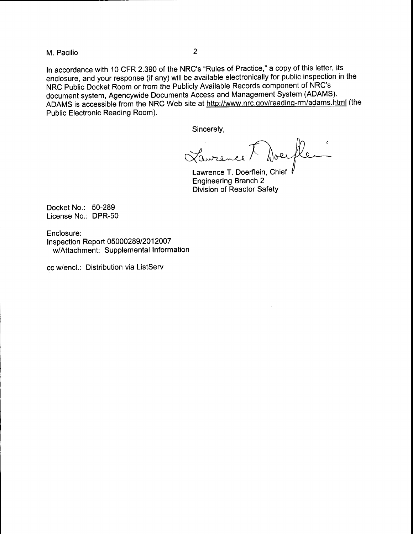M. Pacilio <sup>2</sup>

ln accordance with 10 CFR 2.390 of the NRC's "Rules of Practice," a copy of this letter, its enclosure, and your response (if any) will be available electronically for public inspection in the NRC Public Docket Room or from the Publicly Available Records component of NRC's document system, Agencywide Documents Access and Management System (ADAMS). ADAMS is accessible from the NRC Web site at http://www.nrc.gov/reading-rm/adams.html (the Public Electronic Reading Room).

Sincerely,

Laurence<sup>7</sup> Doer

Lawrence T. Doerflein, Chief  $\sqrt{l}$ Engineering Branch 2 Division of Reactor Safety

Docket No.: 50-289 License No.: DPR-50

Enclosure: <sup>I</sup>nspection Report 05000289/2012007 w/Attachment: Supplemental Information

cc w/encl.: Distribution via ListServ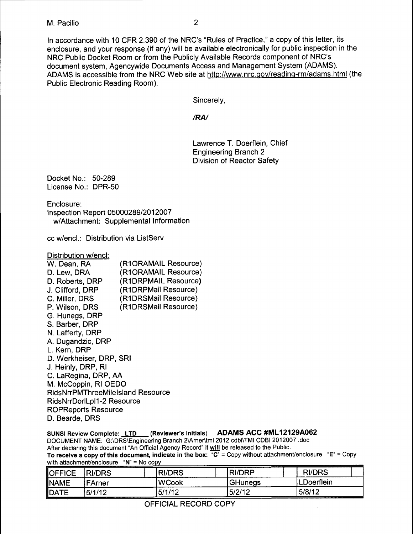In accordance with 10 CFR 2.390 of the NRC's "Rules of Practice," a copy of this letter, its enclosure, and your response (if any) will be available electronically for public inspection in the NRC Public Docket Room or from the Publicly Available Records component of NRC's document system, Agencywide Documents Access and Management System (ADAMS). ADAMS is accessible from the NRC Web site at http://www.nrc.gov/reading-rm/adams.html (the Public Electronic Reading Room).

Sincerely,

# /RN

Lawrence T. Doerflein, Chief Engineering Branch 2 Division of Reactor Safety

Docket No.: 50-289 License No.: DPR-50

Enclosure:

lnspection Report 05000289/201 2007 w/Attachment: Supplemental Information

cc w/encl.: Distribution via ListServ

Distribution w/encl:

| (R1ORAMAIL Resource)                     |
|------------------------------------------|
| (R1ORAMAIL Resource)                     |
| (R1DRPMAIL Resource)                     |
| (R1DRPMail Resource)                     |
| (R1DRSMail Resource)                     |
| (R1DRSMail Resource)                     |
|                                          |
|                                          |
|                                          |
|                                          |
|                                          |
| D. Werkheiser, DRP, SRI                  |
|                                          |
| C. LaRegina, DRP, AA                     |
| M. McCoppin, RI OEDO                     |
| <b>RidsNrrPMThreeMileIsland Resource</b> |
| RidsNrrDorlLpl1-2 Resource               |
| <b>ROPReports Resource</b>               |
|                                          |
|                                          |

# SUNSI Review Complete: LTD (Reviewer's Initials) ADAMS ACC #ML12129A062 DOCUMENT NAME: G:\DRS\Engineering Branch 2\Arner\tmi 2012 cdbi\TMI CDBI 2012007 .doc

After declaring this document "An Official Agency Record" it will be released to the Public.

To receive a copy of this document, indicate in the box:  $\overline{C}$ " = Copy without attachment/enclosure "E" = Copy with attachment/enclosure " $N$ " = No copy

| <b>OFFICE</b> | <b>RI/DRS</b> | <b>IRI/DRS</b> | <b>RI/DRP</b>  | <b>RI/DRS</b> |
|---------------|---------------|----------------|----------------|---------------|
| <b>INAME</b>  | FArner        | lWCook         | <b>GHunegs</b> | LDoerflein    |
| <b>DATE</b>   | 5/1/12        | 5/1/12         | 5/2/12         | 5/8/12        |

OFFICIAL RECORD COPY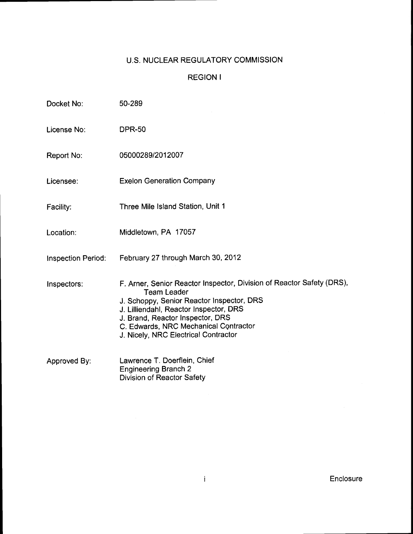# U.S. NUCLEAR REGULATORY COMMISSION

# REGION <sup>I</sup>

| Docket No:         | 50-289                                                                                                                                                                                                                                                                                                  |
|--------------------|---------------------------------------------------------------------------------------------------------------------------------------------------------------------------------------------------------------------------------------------------------------------------------------------------------|
| License No:        | <b>DPR-50</b>                                                                                                                                                                                                                                                                                           |
| Report No:         | 05000289/2012007                                                                                                                                                                                                                                                                                        |
| Licensee:          | <b>Exelon Generation Company</b>                                                                                                                                                                                                                                                                        |
| Facility:          | Three Mile Island Station, Unit 1                                                                                                                                                                                                                                                                       |
| Location:          | Middletown, PA 17057                                                                                                                                                                                                                                                                                    |
| Inspection Period: | February 27 through March 30, 2012                                                                                                                                                                                                                                                                      |
| Inspectors:        | F. Arner, Senior Reactor Inspector, Division of Reactor Safety (DRS),<br><b>Team Leader</b><br>J. Schoppy, Senior Reactor Inspector, DRS<br>J. Lilliendahl, Reactor Inspector, DRS<br>J. Brand, Reactor Inspector, DRS<br>C. Edwards, NRC Mechanical Contractor<br>J. Nicely, NRC Electrical Contractor |
| Approved By:       | Lawrence T. Doerflein, Chief<br><b>Engineering Branch 2</b><br><b>Division of Reactor Safety</b>                                                                                                                                                                                                        |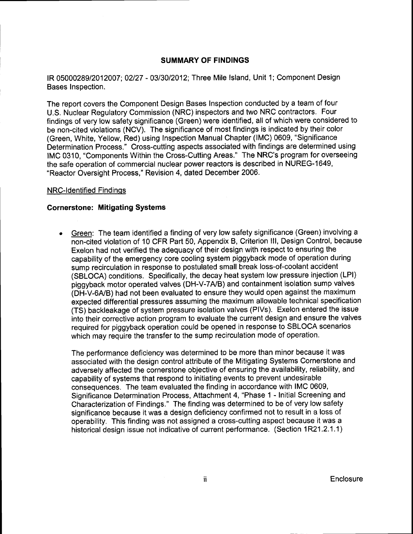# SUMMARY OF FINDINGS

IR 05000289/2012007; 02/27 - 03/30/2012; Three Mile Island, Unit 1; Component Design Bases Inspection.

The report covers the Component Design Bases Inspection conducted by a team of four U.S. Nuclear Regulatory Commission (NRC) inspectors and two NRC contractors. Four findings of very low safety significance (Green) were identified, all of which were considered to be non-cited violations (NCV). The significance of most findings is indicated by their color (Green, White, Yellow, Red) using lnspection Manual Chapter (lMC) 0609, "Significance Determination Process." Cross-cutting aspects associated with findings are determined using IMC 0310, "Components Within the Cross-Cutting Areas." The NRC's program for overseeing the safe operation of commercial nuclear power reactors is described in NUREG-1649, "Reactor Oversight Process," Revision 4, dated December 2006.

## NRC-ldentified Findinqs

## Gornerstone: Mitigating Systems

Green: The team identified a finding of very low safety significance (Green) involving a non-cited violation of 10 CFR Part 50, Appendix B, Criterion lll, Design Control, because Exelon had not verified the adequacy of their design with respect to ensuring the capability of the emergency core cooling system piggyback mode of operation during sump recirculation in response to postulated small break loss-of-coolant accident (SBLOCA) conditions. Specifically, the decay heat system low pressure injection (LPl) piggyback motor operated valves (DH-V-7AJB) and containment isolation sump valves (DH-V-OA/B) had not been evaluated to ensure they would open against the maximum expected differential pressures assuming the maximum allowable technical specification (TS) backleakage of system pressure isolation valves (PlVs). Exelon entered the issue into their corrective action program to evaluate the current design and ensure the valves required for piggyback operation could be opened in response to SBLOCA scenarios which may require the transfer to the sump recirculation mode of operation.

The performance deficiency was determined to be more than minor because it was associated with the design control attribute of the Mitigating Systems Cornerstone and adversely affected the cornerstone objective of ensuring the availability, reliability, and capability of systems that respond to initiating events to prevent undesirable consequences. The team evaluated the finding in accordance with IMC 0609, Significance Determination Process, Attachment 4, "Phase 1 - Initial Screening and Characterization of Findings." The finding was determined to be of very low safety significance because it was a design deficiency confirmed not to result in a loss of operability, This finding was not assigned a cross-cutting aspect because it was a historical design issue not indicative of current performance. (Section 1R21.2.1.1)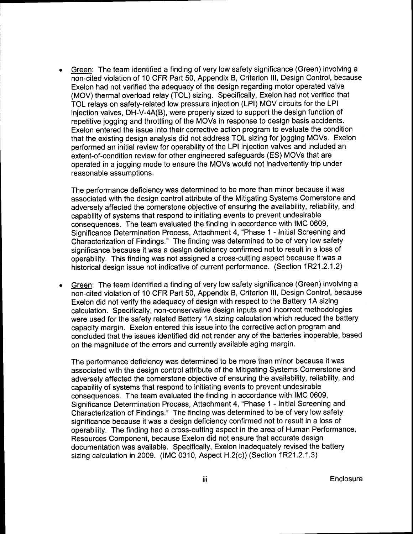Green: The team identified a finding of very low safety significance (Green) involving <sup>a</sup>  $\bullet$ non-cited violation of 10 CFR Part 50, Appendix B, Criterion lll, Design Control, because Exelon had not verified the adequacy of the design regarding motor operated valve (MOV) thermal overload relay (TOL) sizing. Specifically, Exelon had not verified that TOL relays on safety-related low pressure injection (LPl) MOV circuits for the LPI injection valves, DH-V-4A(B), were properly sized to support the design function of repetitive jogging and throttling of the MOVs in response to design basis accidents. Exelon entered the issue into their corrective action program to evaluate the condition that the existing design analysis did not address TOL sizing for jogging MOVs. Exelon performed an initial review for operability of the LPI injection valves and included an extent-of-condition review for other engineered safeguards (ES) MOVs that are operated in a jogging mode to ensure the MOVs would not inadvertently trip under reasonable assumptions.

The performance deficiency was determined to be more than minor because it was associated with the design control attribute of the Mitigating Systems Cornerstone and adversely affected the cornerstone objective of ensuring the availability, reliability, and capability of systems that respond to initiating events to prevent undesirable consequences. The team evaluated the finding in accordance with IMC 0609, Significance Determination Process, Attachment 4, "Phase 1 - Initial Screening and Characterization of Findings," The finding was determined to be of very low safety significance because it was a design deficiency confirmed not to result in a loss of operability. This finding was not assigned a cross-cutting aspect because it was a historical design issue not indicative of current performance. (Section 1R21.2.1.2)

Green: The team identified a finding of very low safety significance (Green) involving a  $\bullet$ non-cited violation of 10 CFR Part 50, Appendix B, Criterion lll, Design Control, because Exelon did not verify the adequacy of design with respect to the Battery 1A sizing calculation. Specifically, non-conservative design inputs and incorrect methodologies were used for the safety related Battery 1A sizing calculation which reduced the battery capacity margin. Exelon entered this issue into the corrective action program and concluded that the issues identified did not render any of the batteries inoperable, based on the magnitude of the errors and currently available aging margin.

The performance deficiency was determined to be more than minor because it was associated with the design control attribute of the Mitigating Systems Cornerstone and adversely affected the cornerstone objective of ensuring the availability, reliability, and capability of systems that respond to initiating events to prevent undesirable consequences. The team evaluated the finding in accordance with IMC 0609, Significance Determination Process, Attachment 4, "Phase 1 - Initial Screening and Characterization of Findings." The finding was determined to be of very low safety significance because it was a design deficiency confirmed not to result in a loss of operability. The finding had a cross-cutting aspect in the area of Human Performance, Resources Component, because Exelon did not ensure that accurate design documentation was available. Specifically, Exelon inadequately revised the battery sizing calculation in 2009. (IMC 0310, Aspect H.2(c)) (Section 1R21.2.1.3)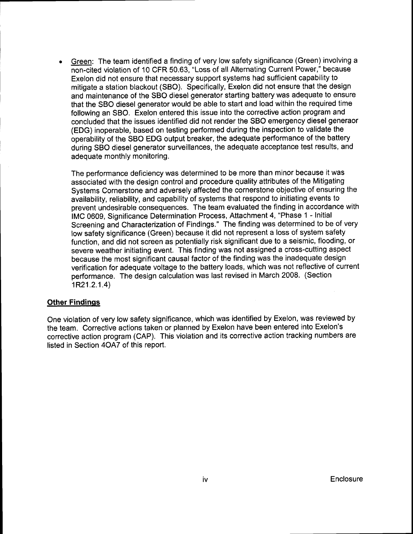Green: The team identified a finding of very low safety significance (Green) involving <sup>a</sup> non-cited violation of 10 CFR 50.63, "Loss of all Alternating Current Power," because Exelon did not ensure that necessary support systems had sufficient capability to mitigate a station blackout (SBO). Specifically, Exelon did not ensure that the design and maintenance of the SBO diesel generator starting battery was adequate to ensure that the SBO diesel generator would be able to start and load within the required time following an SBO. Exelon entered this issue into the corrective action program and concluded that the issues identified did not render the SBO emergency diesel generaor (EDG) inoperable, based on testing performed during the inspection to validate the operability of the SBO EDG output breaker, the adequate performance of the battery during SBO diesel generator surveillances, the adequate acceptance test results, and adequate monthly monitoring.

The performance deficiency was determined to be more than minor because it was associated with the design control and procedure quality attributes of the Mitigating Systems Cornerstone and adversely affected the cornerstone objective of ensuring the availability, reliability, and capability of systems that respond to initiating events to prevent undesirable consequences. The team evaluated the finding in accordance with IMC 0609, Significance Determination Process, Attachment 4, "Phase 1 - Initial Screening and Characterization of Findings." The finding was determined to be of very low safety significance (Green) because it did not represent a loss of system safety function, and did not screen as potentially risk significant due to a seismic, flooding, or severe weather initiating event. This finding was not assigned a cross-cutting aspect because the most significant causal factor of the finding was the inadequate design verification for adequate voltage to the battery loads, which was not reflective of current performance. The design calculation was last revised in March 2008. (Section 1R21.2.1.4)

# **Other Findings**

One violation of very low safety significance, which was identified by Exelon, was reviewed by the team. Corrective actions taken or planned by Exelon have been entered into Exelon's corrective action program (CAP). This violation and its corrective action tracking numbers are listed in Section 4OA7 of this report.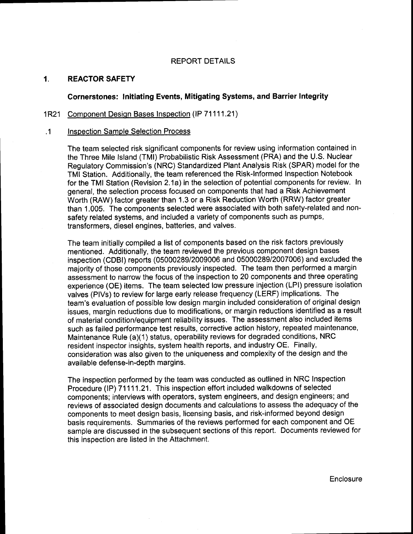#### REPORT DETAILS

#### 1. REACTORSAFETY

# Cornerstones: lnitiating Events, Mitigating Systems, and Barrier Integrity

#### 1R21 Component Desion Bases Inspection (lP 71111.21)

#### .1 Inspection Sample Selection Process

The team selected risk significant components for review using information contained in the Three Mile lsland (TMl) Probabilistic Risk Assessment (PRA) and the U.S. Nuclear Regulatory Commission's (NRC) Standardized Plant Analysis Risk (SPAR) model for the TMI Station. Additionally, the team referenced the Risk'lnformed lnspection Notebook for the TMI Station (Revision 2.1a) in the selection of potential components for review. In general, the selection process focused on components that had a Risk Achievement Worth (RAW) factor greater than 1.3 or a Risk Reduction Worth (RRW) factor greater than 1.005. The components selected were associated with both safety-related and nonsafety related systems, and included a variety of components such as pumps, transformers, diesel engines, batteries, and valves.

The team initially compiled a list of components based on the risk factors previously mentioned. Additionally, the team reviewed the previous component design bases inspection (CDBI) reports (05000289/2009006 and 0500028912007006) and excluded the majority of those components previously inspected. The team then performed a margin assessment to narrow the focus of the inspection to 20 components and three operating experience (OE) items. The team selected low pressure injection (LPl) pressure isolation valves (PlVs) to review for large early release frequency (LERF) implications. The team's evaluation of possible low design margin included consideration of original design issues, margin reductions due to modifications, or margin reductions identified as a result of material condition/equipment reliability issues. The assessment also included items such as failed performance test results, corrective action history, repeated maintenance, Maintenance Rule (a)(1) status, operability reviews for degraded conditions, NRC resident inspector insights, system health reports, and industry OE. Finally, consideration was also given to the uniqueness and complexity of the design and the available defense-in-depth margins.

The inspection performed by the team was conducted as outlined in NRC lnspection Procedure (IP) 71111.21. This inspection effort included walkdowns of selected components; interviews with operators, system engineers, and design engineers; and reviews of associated design documents and calculations to assess the adequacy of the components to meet design basis, licensing basis, and risk-informed beyond design basis requirements. Summaries of the reviews performed for each component and OE sample are discussed in the subsequent sections of this report. Documents reviewed for this inspection are listed in the Attachment.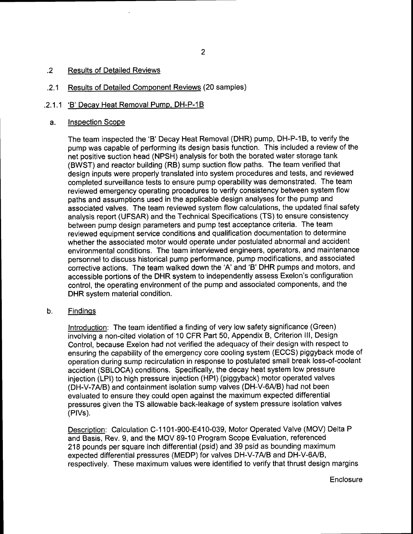## .2 Results of Detailed Reviews

## .2.1 Results of Detailed Component Reviews (20 samples)

# .2.1.1 'B' Decay Heat Removal Pump, DH-P-1B

## a. lnspection Scope

The team inspected the'B' Decay Heat Removal (DHR) pump, DH-P-1B, to verify the pump was capable of performing its design basis function. This included a review of the net positive suction head (NPSH) analysis for both the borated water storage tank (BWST) and reactor building (RB) sump suction flow paths. The team verified that design inputs were properly translated into system procedures and tests, and reviewed completed surveillance tests to ensure pump operability was demonstrated. The team reviewed emergency operating procedures to verify consistency between system flow paths and assumptions used in the applicable design analyses for the pump and associated valves. The team reviewed system flow calculations, the updated final safety analysis report (UFSAR) and the Technical Specifications (TS) to ensure consistency between pump design parameters and pump test acceptance criteria. The team reviewed equipment service conditions and qualification documentation to determine whether the associated motor would operate under postulated abnormal and accident environmental conditions. The team interviewed engineers, operators, and maintenance personnel to discuss historical pump performance, pump modifications, and associated corrective actions. The team walked down the'A'and'B'DHR pumps and motors, and accessible portions of the DHR system to independently assess Exelon's configuration control, the operating environment of the pump and associated components, and the DHR system material condition.

## b, Findinqs

lntroduction: The team identified a finding of very low safety significance (Green) involving a non-cited violation of 10 CFR Part 50, Appendix B, Criterion lll, Design Control, because Exelon had not verified the adequacy of their design with respect to ensuring the capability of the emergency core cooling system (ECCS) piggyback mode of operation during sump recirculation in response to postulated small break loss-of-coolant accident (SBLOCA) conditions. Specifically, the decay heat system low pressure injection (LPl) to high pressure injection (HPl) (piggyback) motor operated valves (DH-V-7A/B) and containment isolation sump valves (DH-V-6A/B) had not been evaluated to ensure they could open against the maximum expected differential pressures given the TS allowable back-leakage of system pressure isolation valves (PlVs).

Description: Calculation C-1101-900-E410-039, Motor Operated Valve (MOV) Delta P and Basis, Rev, 9, and the MOV 89-10 Program Scope Evaluation, referenced 218 pounds per square inch differential (psid) and 39 psid as bounding maximum expected differential pressures (MEDP) for valves DH-V-7A/B and DH-V-6A/B, respectively. These maximum values were identified to verify that thrust design margins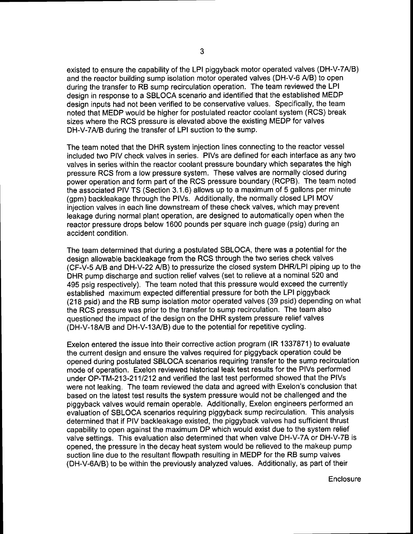existed to ensure the capability of the LPI piggyback motor operated valves (DH-V-7A/B) and the reactor building sump isolation motor operated valves (DH-V-6 A/B) to open during the transfer to RB sump recirculation operation. The team reviewed the LPI design in response to a SBLOCA scenario and identified that the established MEDP design inputs had not been verified to be conservative values. Specifically, the team noted that MEDP would be higher for postulated reactor coolant system (RCS) break sizes where the RCS pressure is elevated above the existing MEDP for valves DH-V-7AJB during the transfer of LPI suction to the sump.

The team noted that the DHR system injection lines connecting to the reactor vessel included two PIV check valves in series. PlVs are defined for each interface as any two valves in series within the reactor coolant pressure boundary which separates the high pressure RCS from a low pressure system. These valves are normally closed during power operation and form part of the RCS pressure boundary (RCPB). The team noted the associated PIV TS (Section 3.1.6) allows up to a maximum of 5 gallons per minute (gpm) backleakage through the PlVs. Additionally, the normally closed LPI MOV injection valves in each line downstream of these check valves, which may prevent leakage during normal plant operation, are designed to automatically open when the reactor pressure drops below 1600 pounds per square inch guage (psig) during an accident condition.

The team determined that during a postulated SBLOCA, there was a potential for the design allowable backleakage from the RCS through the two series check valves (CF-V-5 A/B and DH-V-22 A/B) to pressurize the closed system DHRyLPI piping up to the DHR pump discharge and suction relief valves (set to relieve at a nominal 520 and 495 psig respectively). The team noted that this pressure would exceed the currently established maximum expected differential pressure for both the LPI piggyback (218 psid) and the RB sump isolation motor operated valves (39 psid) depending on what the RCS pressure was prior to the transfer to sump recirculation. The team also questioned the impact of the design on the DHR system pressure relief valves (DH-V-18A/B and DH-V-13A/B) due to the potential for repetitive cycling.

Exelon entered the issue into their corrective action program (lR 1337871) to evaluate the current design and ensure the valves required for piggyback operation could be opened during postulated SBLOCA scenarios requiring transfer to the sump recirculation mode of operation. Exelon reviewed historical leak test results for the PlVs performed under OP-TM-213-2111212 and verified the last test performed showed that the PlVs were not leaking. The team reviewed the data and agreed with Exelon's conclusion that based on the latest test results the system pressure would not be challenged and the piggyback valves would remain operable. Additionally, Exelon engineers performed an evaluation of SBLOCA scenarios requiring piggyback sump recirculation. This analysis determined that if PIV backleakage existed, the piggyback valves had sufficient thrust capability to open against the maximum DP which would exist due to the system relief valve settings. This evaluation also determined that when valve DH-V-7Aor DH-V-78 is opened, the pressure in the decay heat system would be relieved to the makeup pump suction line due to the resultant flowpath resulting in MEDP for the RB sump valves (DH-V-6A/B) to be within the previously analyzed values. Additionally, as part of their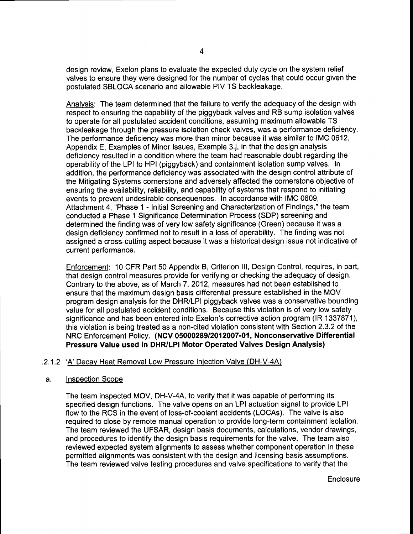design review, Exelon plans to evaluate the expected duty cycle on the system relief valves to ensure they were designed for the number of cycles that could occur given the postulated SBLOCA scenario and allowable PIV TS backleakage.

Analvsis: The team determined that the failure to verify the adequacy of the design with respect to ensuring the capability of the piggyback valves and RB sump isolation valves to operate for all postulated accident conditions, assuming maximum allowable TS backleakage through the pressure isolation check valves, was a performance deficiency. The performance deficiency was more than minor because it was similar to IMC 0612, Appendix E, Examples of Minor lssues, Example 3.j, in that the design analysis deficiency resulted in a condition where the team had reasonable doubt regarding the operability of the LPI to HPI (piggyback) and containment isolation sump valves. In addition, the performance deficiency was associated with the design control attribute of the Mitigating Systems cornerstone and adversely affected the cornerstone objective of ensuring the availability, reliability, and capability of systems that respond to initiating events to prevent undesirable consequences. In accordance with IMC 0609, Attachment 4, "Phase 1 - Initial Screening and Characterization of Findings," the team conducted a Phase 1 Significance Determination Process (SDP) screening and determined the finding was of very low safety significance (Green) because it was a design deficiency confirmed not to result in a loss of operability. The finding was not assigned a cross-cutting aspect because it was a historical design issue not indicative of current performance.

Enforcement: 10 CFR Part 50 Appendix B, Criterion lll, Design Control, requires, in part, that design control measures provide for verifying or checking the adequacy of design. Contrary to the above, as of March 7, 2012, measures had not been established to ensure that the maximum design basis differential pressure established in the MOV program design analysis for the DHRyLPI piggyback valves was a conservative bounding value for all postulated accident conditions. Because this violation is of very low safety significance and has been entered into Exelon's corrective action program (lR 1337871), this violation is being treated as a non-cited violation consistent with Section 2.3.2 of the NRC Enforcement Policy. (NCV 05000289/2012007-01, Nonconservative Differential Pressure Value used in DHR/LPI Motor Operated Valves Design Analysis)

## .2.1.2 'A' Decav Heat Removal Low Pressure Iniection Valve (DH-V-4A)

#### a. Inspection Scope

The team inspected MOV, DH-V-4A, to verify that it was capable of performing its specified design functions. The valve opens on an LPI actuation signal to provide LPI flow to the RCS in the event of loss-of-coolant accidents (LOCAS). The valve is also required to close by remote manual operation to provide long-term containment isolation. The team reviewed the UFSAR, design basis documents, calculations, vendor drawings, and procedures to identify the design basis requirements for the valve. The team also reviewed expected system alignments to assess whether component operation in these permitted alignments was consistent with the design and licensing basis assumptions. The team reviewed valve testing procedures and valve specifications to verify that the